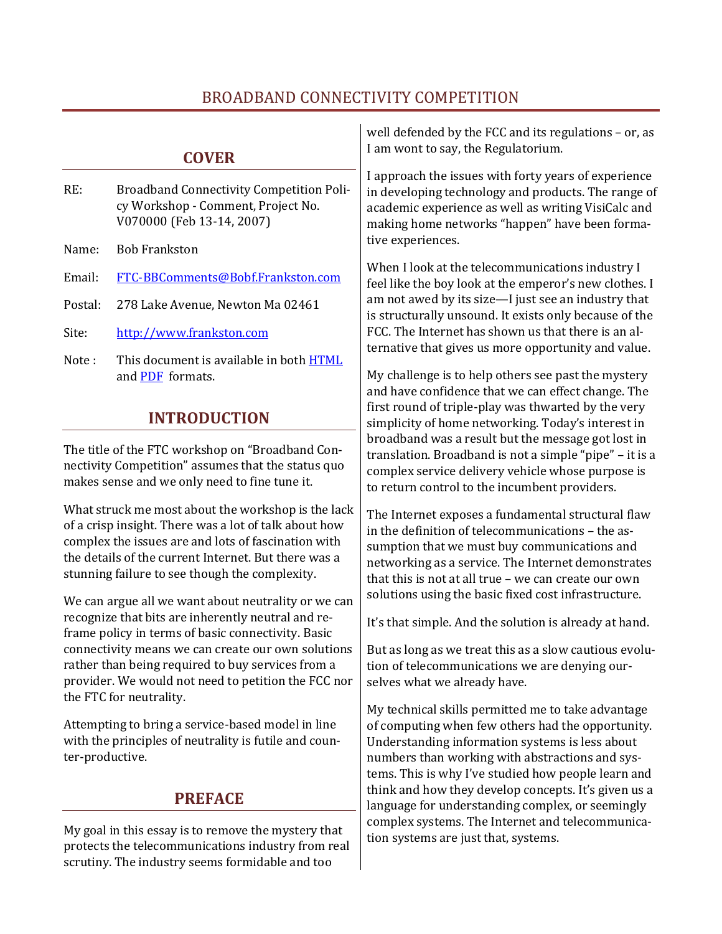## BROADBAND CONNECTIVITY COMPETITION

|                                                                                                                                                                                                                                                                                                                                     | <b>COVER</b>                                                                                                                               | well defended by the FCC and its regulations - or, as<br>I am wont to say, the Regulatorium.                                                                                                                                                                                                                                                                                                                                                                                                                                                                                                                                                                                                                                                               |  |
|-------------------------------------------------------------------------------------------------------------------------------------------------------------------------------------------------------------------------------------------------------------------------------------------------------------------------------------|--------------------------------------------------------------------------------------------------------------------------------------------|------------------------------------------------------------------------------------------------------------------------------------------------------------------------------------------------------------------------------------------------------------------------------------------------------------------------------------------------------------------------------------------------------------------------------------------------------------------------------------------------------------------------------------------------------------------------------------------------------------------------------------------------------------------------------------------------------------------------------------------------------------|--|
| RE:<br>Name:                                                                                                                                                                                                                                                                                                                        | <b>Broadband Connectivity Competition Poli-</b><br>cy Workshop - Comment, Project No.<br>V070000 (Feb 13-14, 2007)<br><b>Bob Frankston</b> | I approach the issues with forty years of experience<br>in developing technology and products. The range of<br>academic experience as well as writing VisiCalc and<br>making home networks "happen" have been forma-<br>tive experiences.<br>When I look at the telecommunications industry I<br>feel like the boy look at the emperor's new clothes. I<br>am not awed by its size-I just see an industry that<br>is structurally unsound. It exists only because of the<br>FCC. The Internet has shown us that there is an al-<br>ternative that gives us more opportunity and value.<br>My challenge is to help others see past the mystery<br>and have confidence that we can effect change. The<br>first round of triple-play was thwarted by the very |  |
| Email:<br>Postal:                                                                                                                                                                                                                                                                                                                   | FTC-BBComments@Bobf.Frankston.com<br>278 Lake Avenue, Newton Ma 02461                                                                      |                                                                                                                                                                                                                                                                                                                                                                                                                                                                                                                                                                                                                                                                                                                                                            |  |
| Site:<br>Note:                                                                                                                                                                                                                                                                                                                      | http://www.frankston.com<br>This document is available in both <b>HTML</b><br>and PDF formats.                                             |                                                                                                                                                                                                                                                                                                                                                                                                                                                                                                                                                                                                                                                                                                                                                            |  |
|                                                                                                                                                                                                                                                                                                                                     | <b>INTRODUCTION</b>                                                                                                                        | simplicity of home networking. Today's interest in                                                                                                                                                                                                                                                                                                                                                                                                                                                                                                                                                                                                                                                                                                         |  |
| The title of the FTC workshop on "Broadband Con-<br>nectivity Competition" assumes that the status quo<br>makes sense and we only need to fine tune it.                                                                                                                                                                             |                                                                                                                                            | broadband was a result but the message got lost in<br>translation. Broadband is not a simple "pipe" - it is a<br>complex service delivery vehicle whose purpose is<br>to return control to the incumbent providers.                                                                                                                                                                                                                                                                                                                                                                                                                                                                                                                                        |  |
| What struck me most about the workshop is the lack<br>of a crisp insight. There was a lot of talk about how<br>complex the issues are and lots of fascination with<br>the details of the current Internet. But there was a<br>stunning failure to see though the complexity.<br>We can argue all we want about neutrality or we can |                                                                                                                                            | The Internet exposes a fundamental structural flaw<br>in the definition of telecommunications - the as-<br>sumption that we must buy communications and<br>networking as a service. The Internet demonstrates<br>that this is not at all true - we can create our own<br>solutions using the basic fixed cost infrastructure.                                                                                                                                                                                                                                                                                                                                                                                                                              |  |
| recognize that bits are inherently neutral and re-<br>frame policy in terms of basic connectivity. Basic<br>connectivity means we can create our own solutions<br>rather than being required to buy services from a<br>provider. We would not need to petition the FCC nor                                                          |                                                                                                                                            | It's that simple. And the solution is already at hand.<br>But as long as we treat this as a slow cautious evolu-<br>tion of telecommunications we are denying our-<br>selves what we already have.                                                                                                                                                                                                                                                                                                                                                                                                                                                                                                                                                         |  |
| the FTC for neutrality.<br>Attempting to bring a service-based model in line<br>with the principles of neutrality is futile and coun-<br>ter-productive.                                                                                                                                                                            |                                                                                                                                            | My technical skills permitted me to take advantage<br>of computing when few others had the opportunity.<br>Understanding information systems is less about<br>numbers than working with abstractions and sys-<br>tems. This is why I've studied how people learn and                                                                                                                                                                                                                                                                                                                                                                                                                                                                                       |  |
| <b>PREFACE</b>                                                                                                                                                                                                                                                                                                                      |                                                                                                                                            | think and how they develop concepts. It's given us a<br>language for understanding complex, or seemingly                                                                                                                                                                                                                                                                                                                                                                                                                                                                                                                                                                                                                                                   |  |

complex systems. The Internet and telecommunica-

tion systems are just that, systems.

My goal in this essay is to remove the mystery that protects the telecommunications industry from real scrutiny. The industry seems formidable and too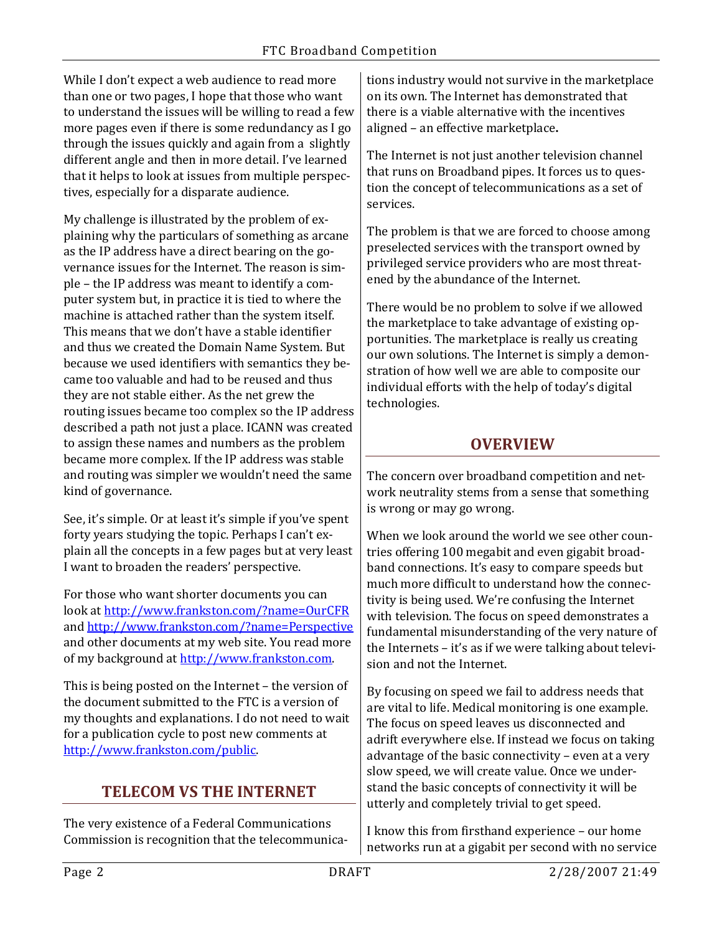While I don't expect a web audience to read more than one or two pages, I hope that those who want to understand the issues will be willing to read a few more pages even if there is some redundancy as I go through the issues quickly and again from a slightly different angle and then in more detail. I've learned that it helps to look at issues from multiple perspectives, especially for a disparate audience.

My challenge is illustrated by the problem of explaining why the particulars of something as arcane as the IP address have a direct bearing on the governance issues for the Internet. The reason is simple – the IP address was meant to identify a computer system but, in practice it is tied to where the machine is attached rather than the system itself. This means that we don't have a stable identifier and thus we created the Domain Name System. But because we used identifiers with semantics they became too valuable and had to be reused and thus they are not stable either. As the net grew the routing issues became too complex so the IP address described a path not just a place. ICANN was created to assign these names and numbers as the problem became more complex. If the IP address was stable and routing was simpler we wouldn't need the same kind of governance.

See, it's simple. Or at least it's simple if you've spent forty years studying the topic. Perhaps I can't explain all the concepts in a few pages but at very least I want to broaden the readers' perspective.

For those who want shorter documents you can look a[t http://www.frankston.com/?name=OurCFR](http://www.frankston.com/?name=OurCFR) and<http://www.frankston.com/?name=Perspective> and other documents at my web site. You read more of my background at [http://www.frankston.com.](http://www.frankston.com/)

This is being posted on the Internet – the version of the document submitted to the FTC is a version of my thoughts and explanations. I do not need to wait for a publication cycle to post new comments at [http://www.frankston.com/public.](http://www.frankston.com/public)

# **TELECOM VS THE INTERNET**

The very existence of a Federal Communications Commission is recognition that the telecommunications industry would not survive in the marketplace on its own. The Internet has demonstrated that there is a viable alternative with the incentives aligned – an effective marketplace**.**

The Internet is not just another television channel that runs on Broadband pipes. It forces us to question the concept of telecommunications as a set of services.

The problem is that we are forced to choose among preselected services with the transport owned by privileged service providers who are most threatened by the abundance of the Internet.

There would be no problem to solve if we allowed the marketplace to take advantage of existing opportunities. The marketplace is really us creating our own solutions. The Internet is simply a demonstration of how well we are able to composite our individual efforts with the help of today's digital technologies.

## **OVERVIEW**

The concern over broadband competition and network neutrality stems from a sense that something is wrong or may go wrong.

When we look around the world we see other countries offering 100 megabit and even gigabit broadband connections. It's easy to compare speeds but much more difficult to understand how the connectivity is being used. We're confusing the Internet with television. The focus on speed demonstrates a fundamental misunderstanding of the very nature of the Internets – it's as if we were talking about television and not the Internet.

By focusing on speed we fail to address needs that are vital to life. Medical monitoring is one example. The focus on speed leaves us disconnected and adrift everywhere else. If instead we focus on taking advantage of the basic connectivity – even at a very slow speed, we will create value. Once we understand the basic concepts of connectivity it will be utterly and completely trivial to get speed.

I know this from firsthand experience – our home networks run at a gigabit per second with no service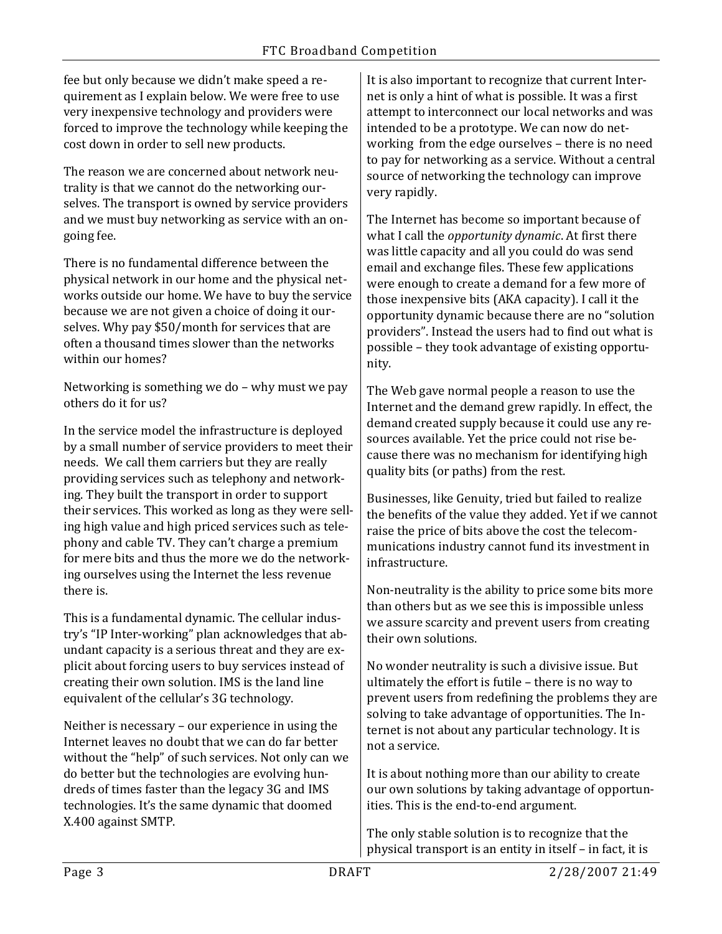fee but only because we didn't make speed a requirement as I explain below. We were free to use very inexpensive technology and providers were forced to improve the technology while keeping the cost down in order to sell new products.

The reason we are concerned about network neutrality is that we cannot do the networking ourselves. The transport is owned by service providers and we must buy networking as service with an ongoing fee.

There is no fundamental difference between the physical network in our home and the physical networks outside our home. We have to buy the service because we are not given a choice of doing it ourselves. Why pay \$50/month for services that are often a thousand times slower than the networks within our homes?

Networking is something we do – why must we pay others do it for us?

In the service model the infrastructure is deployed by a small number of service providers to meet their needs. We call them carriers but they are really providing services such as telephony and networking. They built the transport in order to support their services. This worked as long as they were selling high value and high priced services such as telephony and cable TV. They can't charge a premium for mere bits and thus the more we do the networking ourselves using the Internet the less revenue there is.

This is a fundamental dynamic. The cellular industry's "IP Inter-working" plan acknowledges that abundant capacity is a serious threat and they are explicit about forcing users to buy services instead of creating their own solution. IMS is the land line equivalent of the cellular's 3G technology.

Neither is necessary – our experience in using the Internet leaves no doubt that we can do far better without the "help" of such services. Not only can we do better but the technologies are evolving hundreds of times faster than the legacy 3G and IMS technologies. It's the same dynamic that doomed X.400 against SMTP.

It is also important to recognize that current Internet is only a hint of what is possible. It was a first attempt to interconnect our local networks and was intended to be a prototype. We can now do networking from the edge ourselves – there is no need to pay for networking as a service. Without a central source of networking the technology can improve very rapidly.

The Internet has become so important because of what I call the *opportunity dynamic*. At first there was little capacity and all you could do was send email and exchange files. These few applications were enough to create a demand for a few more of those inexpensive bits (AKA capacity). I call it the opportunity dynamic because there are no "solution providers". Instead the users had to find out what is possible – they took advantage of existing opportunity.

The Web gave normal people a reason to use the Internet and the demand grew rapidly. In effect, the demand created supply because it could use any resources available. Yet the price could not rise because there was no mechanism for identifying high quality bits (or paths) from the rest.

Businesses, like Genuity, tried but failed to realize the benefits of the value they added. Yet if we cannot raise the price of bits above the cost the telecommunications industry cannot fund its investment in infrastructure.

Non-neutrality is the ability to price some bits more than others but as we see this is impossible unless we assure scarcity and prevent users from creating their own solutions.

No wonder neutrality is such a divisive issue. But ultimately the effort is futile – there is no way to prevent users from redefining the problems they are solving to take advantage of opportunities. The Internet is not about any particular technology. It is not a service.

It is about nothing more than our ability to create our own solutions by taking advantage of opportunities. This is the end-to-end argument.

The only stable solution is to recognize that the physical transport is an entity in itself – in fact, it is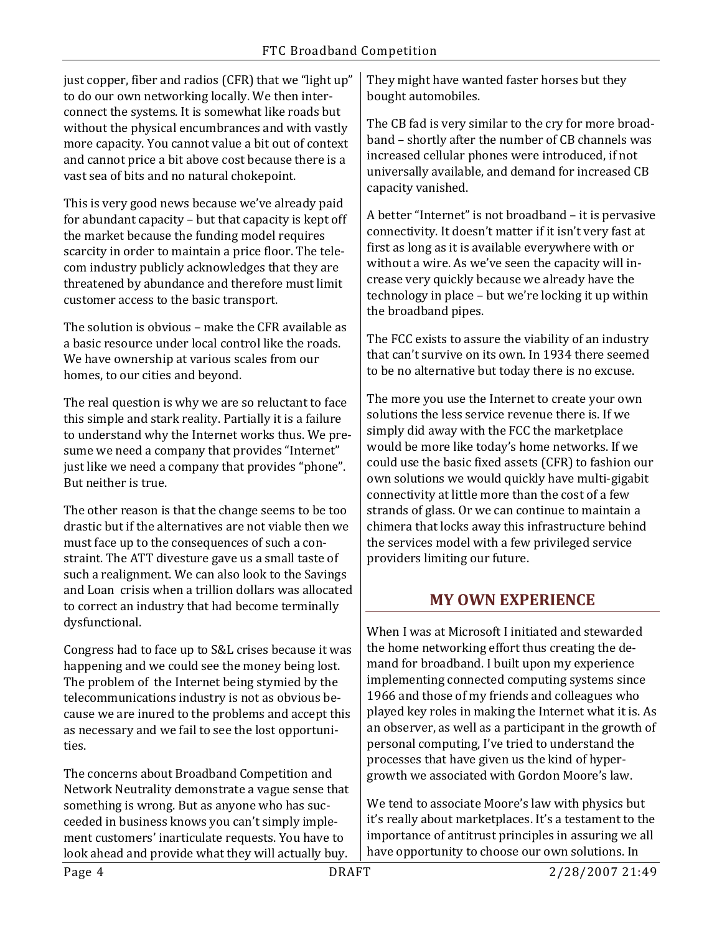just copper, fiber and radios (CFR) that we "light up" to do our own networking locally. We then interconnect the systems. It is somewhat like roads but without the physical encumbrances and with vastly more capacity. You cannot value a bit out of context and cannot price a bit above cost because there is a vast sea of bits and no natural chokepoint.

This is very good news because we've already paid for abundant capacity – but that capacity is kept off the market because the funding model requires scarcity in order to maintain a price floor. The telecom industry publicly acknowledges that they are threatened by abundance and therefore must limit customer access to the basic transport.

The solution is obvious – make the CFR available as a basic resource under local control like the roads. We have ownership at various scales from our homes, to our cities and beyond.

The real question is why we are so reluctant to face this simple and stark reality. Partially it is a failure to understand why the Internet works thus. We presume we need a company that provides "Internet" just like we need a company that provides "phone". But neither is true.

The other reason is that the change seems to be too drastic but if the alternatives are not viable then we must face up to the consequences of such a constraint. The ATT divesture gave us a small taste of such a realignment. We can also look to the Savings and Loan crisis when a trillion dollars was allocated to correct an industry that had become terminally dysfunctional.

Congress had to face up to S&L crises because it was happening and we could see the money being lost. The problem of the Internet being stymied by the telecommunications industry is not as obvious because we are inured to the problems and accept this as necessary and we fail to see the lost opportunities.

The concerns about Broadband Competition and Network Neutrality demonstrate a vague sense that something is wrong. But as anyone who has succeeded in business knows you can't simply implement customers' inarticulate requests. You have to look ahead and provide what they will actually buy.

They might have wanted faster horses but they bought automobiles.

The CB fad is very similar to the cry for more broadband – shortly after the number of CB channels was increased cellular phones were introduced, if not universally available, and demand for increased CB capacity vanished.

A better "Internet" is not broadband – it is pervasive connectivity. It doesn't matter if it isn't very fast at first as long as it is available everywhere with or without a wire. As we've seen the capacity will increase very quickly because we already have the technology in place – but we're locking it up within the broadband pipes.

The FCC exists to assure the viability of an industry that can't survive on its own. In 1934 there seemed to be no alternative but today there is no excuse.

The more you use the Internet to create your own solutions the less service revenue there is. If we simply did away with the FCC the marketplace would be more like today's home networks. If we could use the basic fixed assets (CFR) to fashion our own solutions we would quickly have multi-gigabit connectivity at little more than the cost of a few strands of glass. Or we can continue to maintain a chimera that locks away this infrastructure behind the services model with a few privileged service providers limiting our future.

# **MY OWN EXPERIENCE**

When I was at Microsoft I initiated and stewarded the home networking effort thus creating the demand for broadband. I built upon my experience implementing connected computing systems since 1966 and those of my friends and colleagues who played key roles in making the Internet what it is. As an observer, as well as a participant in the growth of personal computing, I've tried to understand the processes that have given us the kind of hypergrowth we associated with Gordon Moore's law.

We tend to associate Moore's law with physics but it's really about marketplaces. It's a testament to the importance of antitrust principles in assuring we all have opportunity to choose our own solutions. In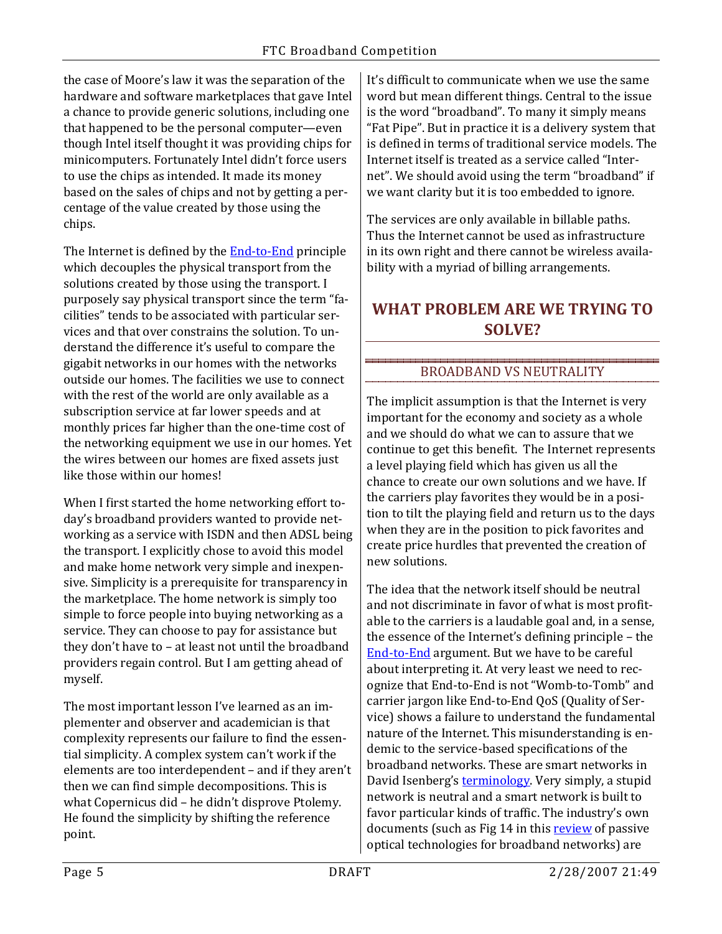the case of Moore's law it was the separation of the hardware and software marketplaces that gave Intel a chance to provide generic solutions, including one that happened to be the personal computer—even though Intel itself thought it was providing chips for minicomputers. Fortunately Intel didn't force users to use the chips as intended. It made its money based on the sales of chips and not by getting a percentage of the value created by those using the chips.

The Internet is defined by the **End-to-End** principle which decouples the physical transport from the solutions created by those using the transport. I purposely say physical transport since the term "facilities" tends to be associated with particular services and that over constrains the solution. To understand the difference it's useful to compare the gigabit networks in our homes with the networks outside our homes. The facilities we use to connect with the rest of the world are only available as a subscription service at far lower speeds and at monthly prices far higher than the one-time cost of the networking equipment we use in our homes. Yet the wires between our homes are fixed assets just like those within our homes!

When I first started the home networking effort today's broadband providers wanted to provide networking as a service with ISDN and then ADSL being the transport. I explicitly chose to avoid this model and make home network very simple and inexpensive. Simplicity is a prerequisite for transparency in the marketplace. The home network is simply too simple to force people into buying networking as a service. They can choose to pay for assistance but they don't have to – at least not until the broadband providers regain control. But I am getting ahead of myself.

The most important lesson I've learned as an implementer and observer and academician is that complexity represents our failure to find the essential simplicity. A complex system can't work if the elements are too interdependent – and if they aren't then we can find simple decompositions. This is what Copernicus did – he didn't disprove Ptolemy. He found the simplicity by shifting the reference point.

It's difficult to communicate when we use the same word but mean different things. Central to the issue is the word "broadband". To many it simply means "Fat Pipe". But in practice it is a delivery system that is defined in terms of traditional service models. The Internet itself is treated as a service called "Internet". We should avoid using the term "broadband" if we want clarity but it is too embedded to ignore.

The services are only available in billable paths. Thus the Internet cannot be used as infrastructure in its own right and there cannot be wireless availability with a myriad of billing arrangements.

# **WHAT PROBLEM ARE WE TRYING TO SOLVE?**

#### BROADBAND VS NEUTRALITY

The implicit assumption is that the Internet is very important for the economy and society as a whole and we should do what we can to assure that we continue to get this benefit. The Internet represents a level playing field which has given us all the chance to create our own solutions and we have. If the carriers play favorites they would be in a position to tilt the playing field and return us to the days when they are in the position to pick favorites and create price hurdles that prevented the creation of new solutions.

The idea that the network itself should be neutral and not discriminate in favor of what is most profitable to the carriers is a laudable goal and, in a sense, the essence of the Internet's defining principle – the [End-to-End](http://www.reed.com/papers/EndToEnd.html) argument. But we have to be careful about interpreting it. At very least we need to recognize that End-to-End is not "Womb-to-Tomb" and carrier jargon like End-to-End QoS (Quality of Service) shows a failure to understand the fundamental nature of the Internet. This misunderstanding is endemic to the service-based specifications of the broadband networks. These are smart networks in David Isenberg's **terminology**. Very simply, a stupid network is neutral and a smart network is built to favor particular kinds of traffic. The industry's own documents (such as Fig 14 in thi[s review](http://networks.cs.ucdavis.edu/publications/2005_amitabha_2005-11-19_05_24_32.pdf.) of passive optical technologies for broadband networks) are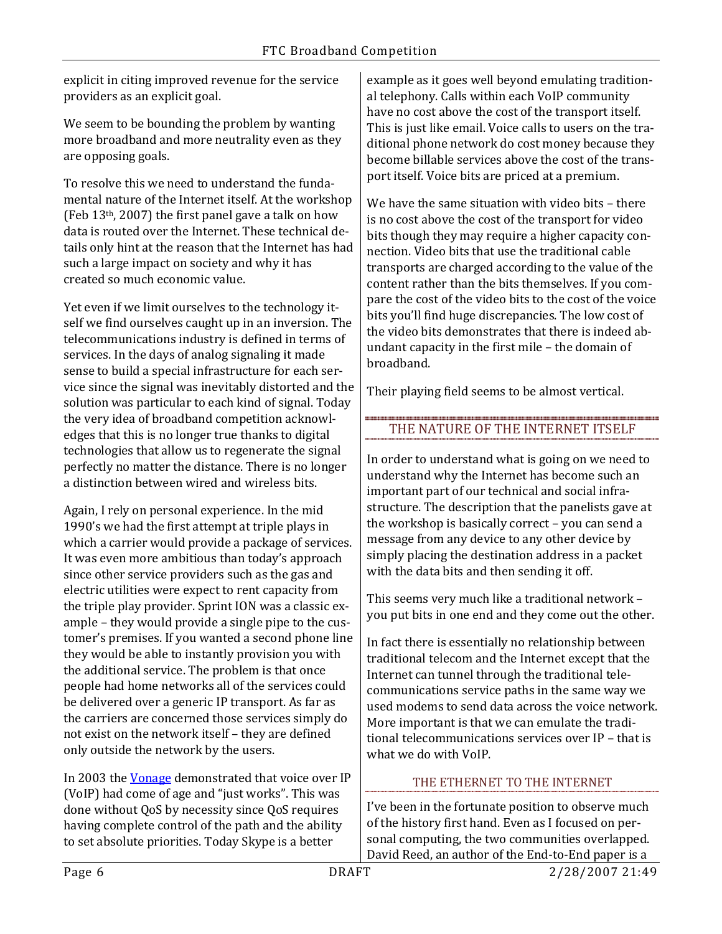explicit in citing improved revenue for the service providers as an explicit goal.

We seem to be bounding the problem by wanting more broadband and more neutrality even as they are opposing goals.

To resolve this we need to understand the fundamental nature of the Internet itself. At the workshop (Feb 13th, 2007) the first panel gave a talk on how data is routed over the Internet. These technical details only hint at the reason that the Internet has had such a large impact on society and why it has created so much economic value.

Yet even if we limit ourselves to the technology itself we find ourselves caught up in an inversion. The telecommunications industry is defined in terms of services. In the days of analog signaling it made sense to build a special infrastructure for each service since the signal was inevitably distorted and the solution was particular to each kind of signal. Today the very idea of broadband competition acknowledges that this is no longer true thanks to digital technologies that allow us to regenerate the signal perfectly no matter the distance. There is no longer a distinction between wired and wireless bits.

Again, I rely on personal experience. In the mid 1990's we had the first attempt at triple plays in which a carrier would provide a package of services. It was even more ambitious than today's approach since other service providers such as the gas and electric utilities were expect to rent capacity from the triple play provider. Sprint ION was a classic example – they would provide a single pipe to the customer's premises. If you wanted a second phone line they would be able to instantly provision you with the additional service. The problem is that once people had home networks all of the services could be delivered over a generic IP transport. As far as the carriers are concerned those services simply do not exist on the network itself – they are defined only outside the network by the users.

In 2003 th[e Vonage](http://www.frankston.com/?name=SATNVoIPis) demonstrated that voice over IP (VoIP) had come of age and "just works". This was done without QoS by necessity since QoS requires having complete control of the path and the ability to set absolute priorities. Today Skype is a better

example as it goes well beyond emulating traditional telephony. Calls within each VoIP community have no cost above the cost of the transport itself. This is just like email. Voice calls to users on the traditional phone network do cost money because they become billable services above the cost of the transport itself. Voice bits are priced at a premium.

We have the same situation with video bits – there is no cost above the cost of the transport for video bits though they may require a higher capacity connection. Video bits that use the traditional cable transports are charged according to the value of the content rather than the bits themselves. If you compare the cost of the video bits to the cost of the voice bits you'll find huge discrepancies. The low cost of the video bits demonstrates that there is indeed abundant capacity in the first mile – the domain of broadband.

Their playing field seems to be almost vertical.

#### THE NATURE OF THE INTERNET ITSELF

In order to understand what is going on we need to understand why the Internet has become such an important part of our technical and social infrastructure. The description that the panelists gave at the workshop is basically correct – you can send a message from any device to any other device by simply placing the destination address in a packet with the data bits and then sending it off.

This seems very much like a traditional network – you put bits in one end and they come out the other.

In fact there is essentially no relationship between traditional telecom and the Internet except that the Internet can tunnel through the traditional telecommunications service paths in the same way we used modems to send data across the voice network. More important is that we can emulate the traditional telecommunications services over IP – that is what we do with VoIP.

## THE ETHERNET TO THE INTERNET

I've been in the fortunate position to observe much of the history first hand. Even as I focused on personal computing, the two communities overlapped. David Reed, an author of the End-to-End paper is a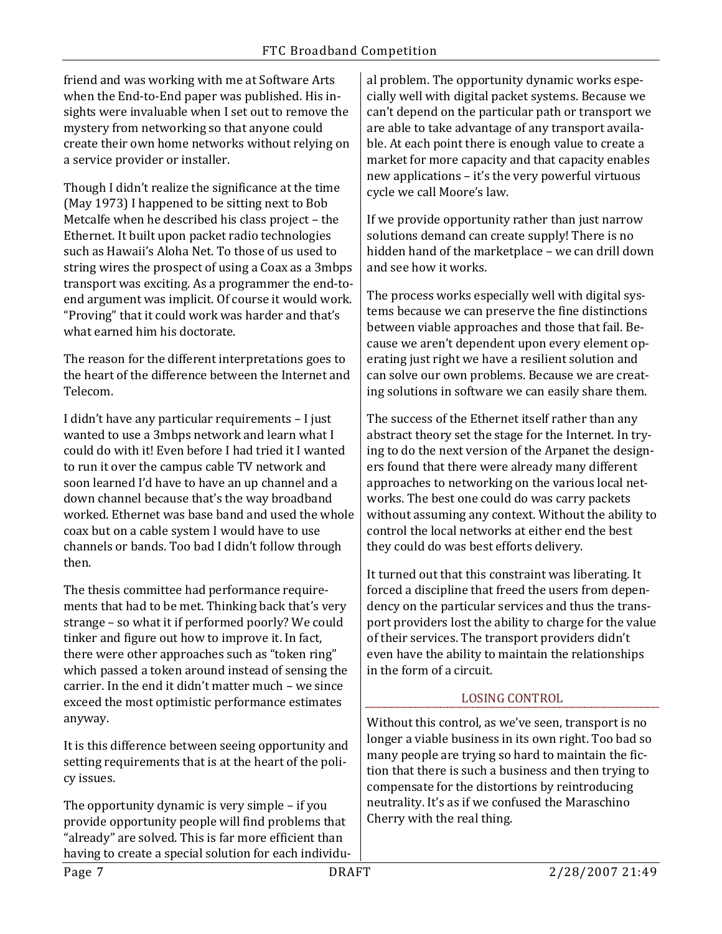friend and was working with me at Software Arts when the End-to-End paper was published. His insights were invaluable when I set out to remove the mystery from networking so that anyone could create their own home networks without relying on a service provider or installer.

Though I didn't realize the significance at the time (May 1973) I happened to be sitting next to Bob Metcalfe when he described his class project – the Ethernet. It built upon packet radio technologies such as Hawaii's Aloha Net. To those of us used to string wires the prospect of using a Coax as a 3mbps transport was exciting. As a programmer the end-toend argument was implicit. Of course it would work. "Proving" that it could work was harder and that's what earned him his doctorate.

The reason for the different interpretations goes to the heart of the difference between the Internet and Telecom.

I didn't have any particular requirements – I just wanted to use a 3mbps network and learn what I could do with it! Even before I had tried it I wanted to run it over the campus cable TV network and soon learned I'd have to have an up channel and a down channel because that's the way broadband worked. Ethernet was base band and used the whole coax but on a cable system I would have to use channels or bands. Too bad I didn't follow through then.

The thesis committee had performance requirements that had to be met. Thinking back that's very strange – so what it if performed poorly? We could tinker and figure out how to improve it. In fact, there were other approaches such as "token ring" which passed a token around instead of sensing the carrier. In the end it didn't matter much – we since exceed the most optimistic performance estimates anyway.

It is this difference between seeing opportunity and setting requirements that is at the heart of the policy issues.

The opportunity dynamic is very simple – if you provide opportunity people will find problems that "already" are solved. This is far more efficient than having to create a special solution for each individu-

al problem. The opportunity dynamic works especially well with digital packet systems. Because we can't depend on the particular path or transport we are able to take advantage of any transport available. At each point there is enough value to create a market for more capacity and that capacity enables new applications – it's the very powerful virtuous cycle we call Moore's law.

If we provide opportunity rather than just narrow solutions demand can create supply! There is no hidden hand of the marketplace – we can drill down and see how it works.

The process works especially well with digital systems because we can preserve the fine distinctions between viable approaches and those that fail. Because we aren't dependent upon every element operating just right we have a resilient solution and can solve our own problems. Because we are creating solutions in software we can easily share them.

The success of the Ethernet itself rather than any abstract theory set the stage for the Internet. In trying to do the next version of the Arpanet the designers found that there were already many different approaches to networking on the various local networks. The best one could do was carry packets without assuming any context. Without the ability to control the local networks at either end the best they could do was best efforts delivery.

It turned out that this constraint was liberating. It forced a discipline that freed the users from dependency on the particular services and thus the transport providers lost the ability to charge for the value of their services. The transport providers didn't even have the ability to maintain the relationships in the form of a circuit.

## LOSING CONTROL

Without this control, as we've seen, transport is no longer a viable business in its own right. Too bad so many people are trying so hard to maintain the fiction that there is such a business and then trying to compensate for the distortions by reintroducing neutrality. It's as if we confused the Maraschino Cherry with the real thing.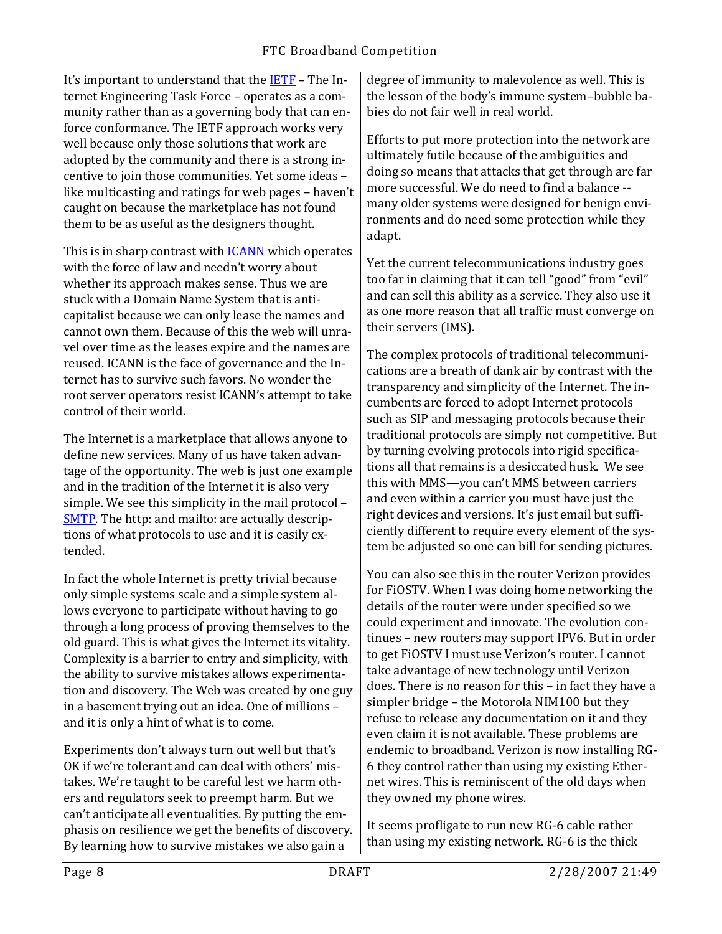It's important to understand that the [IETF](http://www.ietf.org/) – The Internet Engineering Task Force – operates as a community rather than as a governing body that can enforce conformance. The IETF approach works very well because only those solutions that work are adopted by the community and there is a strong incentive to join those communities. Yet some ideas – like multicasting and ratings for web pages – haven't caught on because the marketplace has not found them to be as useful as the designers thought.

This is in sharp contrast with **[ICANN](http://www.icann.org/)** which operates with the force of law and needn't worry about whether its approach makes sense. Thus we are stuck with a Domain Name System that is anticapitalist because we can only lease the names and cannot own them. Because of this the web will unravel over time as the leases expire and the names are reused. ICANN is the face of governance and the Internet has to survive such favors. No wonder the root server operators resist ICANN's attempt to take control of their world.

The Internet is a marketplace that allows anyone to define new services. Many of us have taken advantage of the opportunity. The web is just one example and in the tradition of the Internet it is also very simple. We see this simplicity in the mail protocol – [SMTP.](http://www.frankston.com/?name=SATNSMTP) The http: and mailto: are actually descriptions of what protocols to use and it is easily extended.

In fact the whole Internet is pretty trivial because only simple systems scale and a simple system allows everyone to participate without having to go through a long process of proving themselves to the old guard. This is what gives the Internet its vitality. Complexity is a barrier to entry and simplicity, with the ability to survive mistakes allows experimentation and discovery. The Web was created by one guy in a basement trying out an idea. One of millions – and it is only a hint of what is to come.

Experiments don't always turn out well but that's OK if we're tolerant and can deal with others' mistakes. We're taught to be careful lest we harm others and regulators seek to preempt harm. But we can't anticipate all eventualities. By putting the emphasis on resilience we get the benefits of discovery. By learning how to survive mistakes we also gain a

degree of immunity to malevolence as well. This is the lesson of the body's immune system–bubble babies do not fair well in real world.

Efforts to put more protection into the network are ultimately futile because of the ambiguities and doing so means that attacks that get through are far more successful. We do need to find a balance - many older systems were designed for benign environments and do need some protection while they adapt.

Yet the current telecommunications industry goes too far in claiming that it can tell "good" from "evil" and can sell this ability as a service. They also use it as one more reason that all traffic must converge on their servers (IMS).

The complex protocols of traditional telecommunications are a breath of dank air by contrast with the transparency and simplicity of the Internet. The incumbents are forced to adopt Internet protocols such as SIP and messaging protocols because their traditional protocols are simply not competitive. But by turning evolving protocols into rigid specifications all that remains is a desiccated husk. We see this with MMS—you can't MMS between carriers and even within a carrier you must have just the right devices and versions. It's just email but sufficiently different to require every element of the system be adjusted so one can bill for sending pictures.

You can also see this in the router Verizon provides for FiOSTV. When I was doing home networking the details of the router were under specified so we could experiment and innovate. The evolution continues – new routers may support IPV6. But in order to get FiOSTV I must use Verizon's router. I cannot take advantage of new technology until Verizon does. There is no reason for this – in fact they have a simpler bridge – the Motorola NIM100 but they refuse to release any documentation on it and they even claim it is not available. These problems are endemic to broadband. Verizon is now installing RG-6 they control rather than using my existing Ethernet wires. This is reminiscent of the old days when they owned my phone wires.

It seems profligate to run new RG-6 cable rather than using my existing network. RG-6 is the thick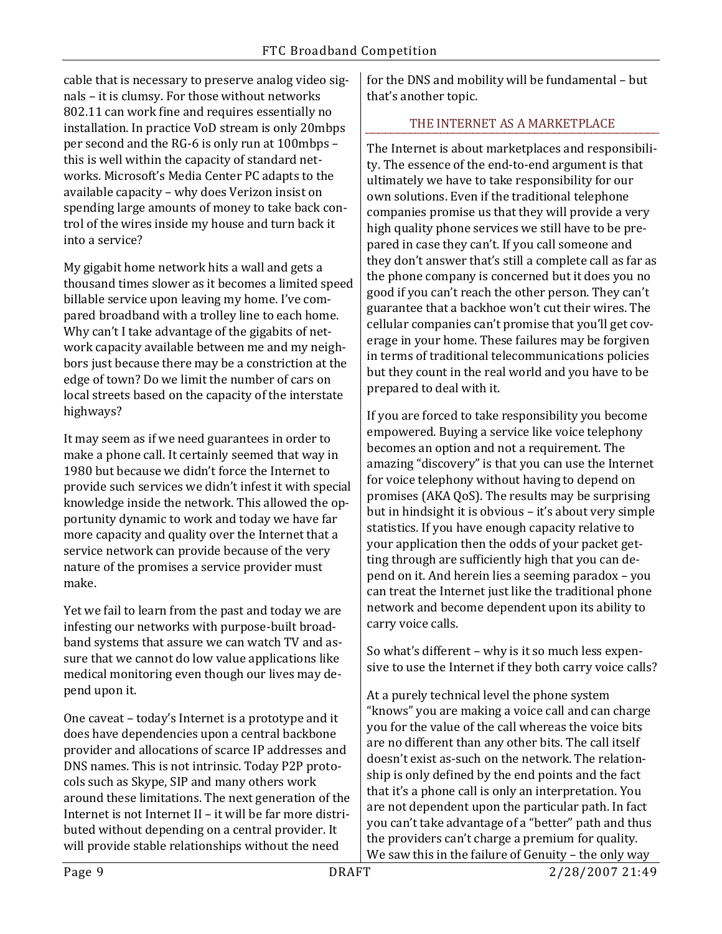cable that is necessary to preserve analog video signals – it is clumsy. For those without networks 802.11 can work fine and requires essentially no installation. In practice VoD stream is only 20mbps per second and the RG-6 is only run at 100mbps – this is well within the capacity of standard networks. Microsoft's Media Center PC adapts to the available capacity – why does Verizon insist on spending large amounts of money to take back control of the wires inside my house and turn back it into a service?

My gigabit home network hits a wall and gets a thousand times slower as it becomes a limited speed billable service upon leaving my home. I've compared broadband with a trolley line to each home. Why can't I take advantage of the gigabits of network capacity available between me and my neighbors just because there may be a constriction at the edge of town? Do we limit the number of cars on local streets based on the capacity of the interstate highways?

It may seem as if we need guarantees in order to make a phone call. It certainly seemed that way in 1980 but because we didn't force the Internet to provide such services we didn't infest it with special knowledge inside the network. This allowed the opportunity dynamic to work and today we have far more capacity and quality over the Internet that a service network can provide because of the very nature of the promises a service provider must make.

Yet we fail to learn from the past and today we are infesting our networks with purpose-built broadband systems that assure we can watch TV and assure that we cannot do low value applications like medical monitoring even though our lives may depend upon it.

One caveat – today's Internet is a prototype and it does have dependencies upon a central backbone provider and allocations of scarce IP addresses and DNS names. This is not intrinsic. Today P2P protocols such as Skype, SIP and many others work around these limitations. The next generation of the Internet is not Internet II – it will be far more distributed without depending on a central provider. It will provide stable relationships without the need

for the DNS and mobility will be fundamental – but that's another topic.

## THE INTERNET AS A MARKETPLACE

The Internet is about marketplaces and responsibility. The essence of the end-to-end argument is that ultimately we have to take responsibility for our own solutions. Even if the traditional telephone companies promise us that they will provide a very high quality phone services we still have to be prepared in case they can't. If you call someone and they don't answer that's still a complete call as far as the phone company is concerned but it does you no good if you can't reach the other person. They can't guarantee that a backhoe won't cut their wires. The cellular companies can't promise that you'll get coverage in your home. These failures may be forgiven in terms of traditional telecommunications policies but they count in the real world and you have to be prepared to deal with it.

If you are forced to take responsibility you become empowered. Buying a service like voice telephony becomes an option and not a requirement. The amazing "discovery" is that you can use the Internet for voice telephony without having to depend on promises (AKA QoS). The results may be surprising but in hindsight it is obvious – it's about very simple statistics. If you have enough capacity relative to your application then the odds of your packet getting through are sufficiently high that you can depend on it. And herein lies a seeming paradox – you can treat the Internet just like the traditional phone network and become dependent upon its ability to carry voice calls.

So what's different – why is it so much less expensive to use the Internet if they both carry voice calls?

At a purely technical level the phone system "knows" you are making a voice call and can charge you for the value of the call whereas the voice bits are no different than any other bits. The call itself doesn't exist as-such on the network. The relationship is only defined by the end points and the fact that it's a phone call is only an interpretation. You are not dependent upon the particular path. In fact you can't take advantage of a "better" path and thus the providers can't charge a premium for quality. We saw this in the failure of Genuity – the only way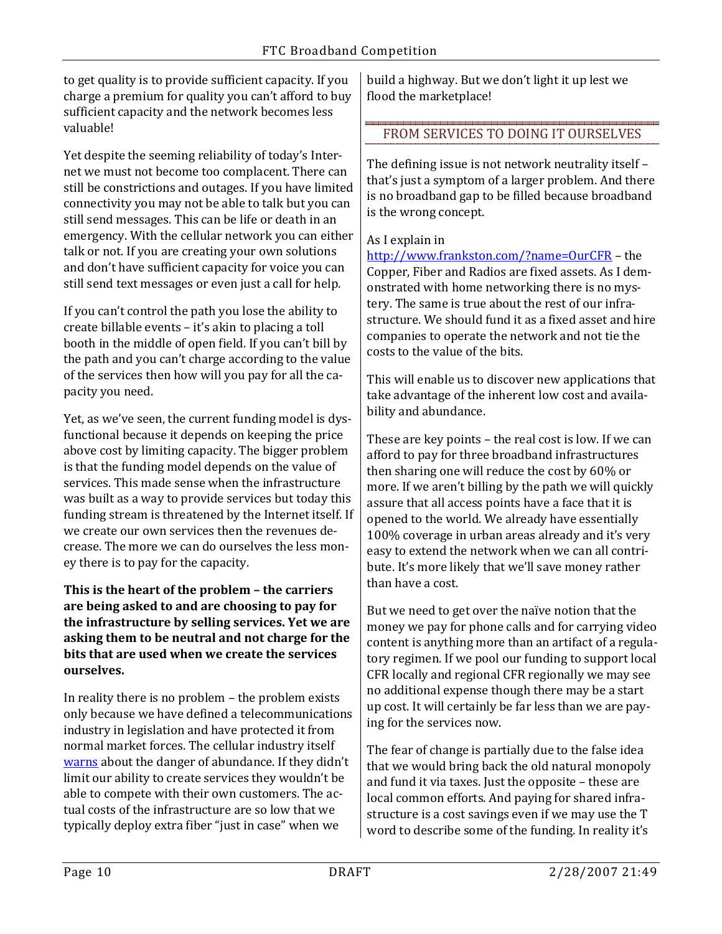to get quality is to provide sufficient capacity. If you charge a premium for quality you can't afford to buy sufficient capacity and the network becomes less valuable!

Yet despite the seeming reliability of today's Internet we must not become too complacent. There can still be constrictions and outages. If you have limited connectivity you may not be able to talk but you can still send messages. This can be life or death in an emergency. With the cellular network you can either talk or not. If you are creating your own solutions and don't have sufficient capacity for voice you can still send text messages or even just a call for help.

If you can't control the path you lose the ability to create billable events – it's akin to placing a toll booth in the middle of open field. If you can't bill by the path and you can't charge according to the value of the services then how will you pay for all the capacity you need.

Yet, as we've seen, the current funding model is dysfunctional because it depends on keeping the price above cost by limiting capacity. The bigger problem is that the funding model depends on the value of services. This made sense when the infrastructure was built as a way to provide services but today this funding stream is threatened by the Internet itself. If we create our own services then the revenues decrease. The more we can do ourselves the less money there is to pay for the capacity.

#### **This is the heart of the problem – the carriers are being asked to and are choosing to pay for the infrastructure by selling services. Yet we are asking them to be neutral and not charge for the bits that are used when we create the services ourselves.**

In reality there is no problem – the problem exists only because we have defined a telecommunications industry in legislation and have protected it from normal market forces. The cellular industry itself [warns](http://www.frankston.com/?name=AssuringScarcity) about the danger of abundance. If they didn't limit our ability to create services they wouldn't be able to compete with their own customers. The actual costs of the infrastructure are so low that we typically deploy extra fiber "just in case" when we

build a highway. But we don't light it up lest we flood the marketplace!

#### FROM SERVICES TO DOING IT OURSELVES

The defining issue is not network neutrality itself – that's just a symptom of a larger problem. And there is no broadband gap to be filled because broadband is the wrong concept.

## As I explain in

<http://www.frankston.com/?name=OurCFR> – the Copper, Fiber and Radios are fixed assets. As I demonstrated with home networking there is no mystery. The same is true about the rest of our infrastructure. We should fund it as a fixed asset and hire companies to operate the network and not tie the costs to the value of the bits.

This will enable us to discover new applications that take advantage of the inherent low cost and availability and abundance.

These are key points – the real cost is low. If we can afford to pay for three broadband infrastructures then sharing one will reduce the cost by 60% or more. If we aren't billing by the path we will quickly assure that all access points have a face that it is opened to the world. We already have essentially 100% coverage in urban areas already and it's very easy to extend the network when we can all contribute. It's more likely that we'll save money rather than have a cost.

But we need to get over the naïve notion that the money we pay for phone calls and for carrying video content is anything more than an artifact of a regulatory regimen. If we pool our funding to support local CFR locally and regional CFR regionally we may see no additional expense though there may be a start up cost. It will certainly be far less than we are paying for the services now.

The fear of change is partially due to the false idea that we would bring back the old natural monopoly and fund it via taxes. Just the opposite – these are local common efforts. And paying for shared infrastructure is a cost savings even if we may use the T word to describe some of the funding. In reality it's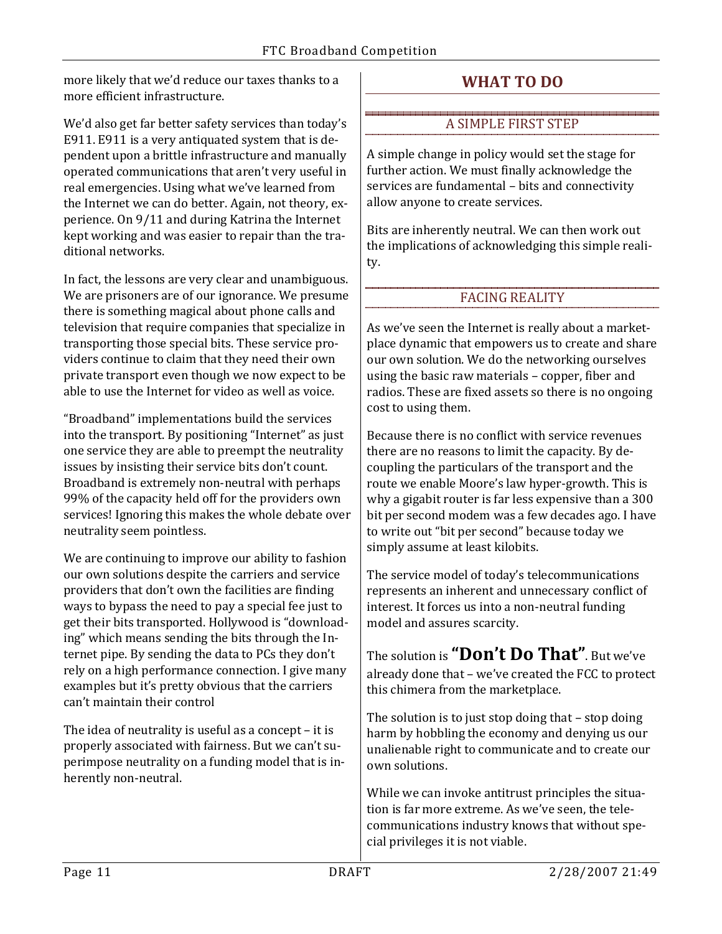more likely that we'd reduce our taxes thanks to a more efficient infrastructure.

We'd also get far better safety services than today's E911. E911 is a very antiquated system that is dependent upon a brittle infrastructure and manually operated communications that aren't very useful in real emergencies. Using what we've learned from the Internet we can do better. Again, not theory, experience. On 9/11 and during Katrina the Internet kept working and was easier to repair than the traditional networks.

In fact, the lessons are very clear and unambiguous. We are prisoners are of our ignorance. We presume there is something magical about phone calls and television that require companies that specialize in transporting those special bits. These service providers continue to claim that they need their own private transport even though we now expect to be able to use the Internet for video as well as voice.

"Broadband" implementations build the services into the transport. By positioning "Internet" as just one service they are able to preempt the neutrality issues by insisting their service bits don't count. Broadband is extremely non-neutral with perhaps 99% of the capacity held off for the providers own services! Ignoring this makes the whole debate over neutrality seem pointless.

We are continuing to improve our ability to fashion our own solutions despite the carriers and service providers that don't own the facilities are finding ways to bypass the need to pay a special fee just to get their bits transported. Hollywood is "downloading" which means sending the bits through the Internet pipe. By sending the data to PCs they don't rely on a high performance connection. I give many examples but it's pretty obvious that the carriers can't maintain their control

The idea of neutrality is useful as a concept – it is properly associated with fairness. But we can't superimpose neutrality on a funding model that is inherently non-neutral.

# **WHAT TO DO**

#### A SIMPLE FIRST STEP

A simple change in policy would set the stage for further action. We must finally acknowledge the services are fundamental – bits and connectivity allow anyone to create services.

Bits are inherently neutral. We can then work out the implications of acknowledging this simple reality.

## FACING REALITY

As we've seen the Internet is really about a marketplace dynamic that empowers us to create and share our own solution. We do the networking ourselves using the basic raw materials – copper, fiber and radios. These are fixed assets so there is no ongoing cost to using them.

Because there is no conflict with service revenues there are no reasons to limit the capacity. By decoupling the particulars of the transport and the route we enable Moore's law hyper-growth. This is why a gigabit router is far less expensive than a 300 bit per second modem was a few decades ago. I have to write out "bit per second" because today we simply assume at least kilobits.

The service model of today's telecommunications represents an inherent and unnecessary conflict of interest. It forces us into a non-neutral funding model and assures scarcity.

The solution is **"Don't Do That"**. But we've already done that – we've created the FCC to protect this chimera from the marketplace.

The solution is to just stop doing that – stop doing harm by hobbling the economy and denying us our unalienable right to communicate and to create our own solutions.

While we can invoke antitrust principles the situation is far more extreme. As we've seen, the telecommunications industry knows that without special privileges it is not viable.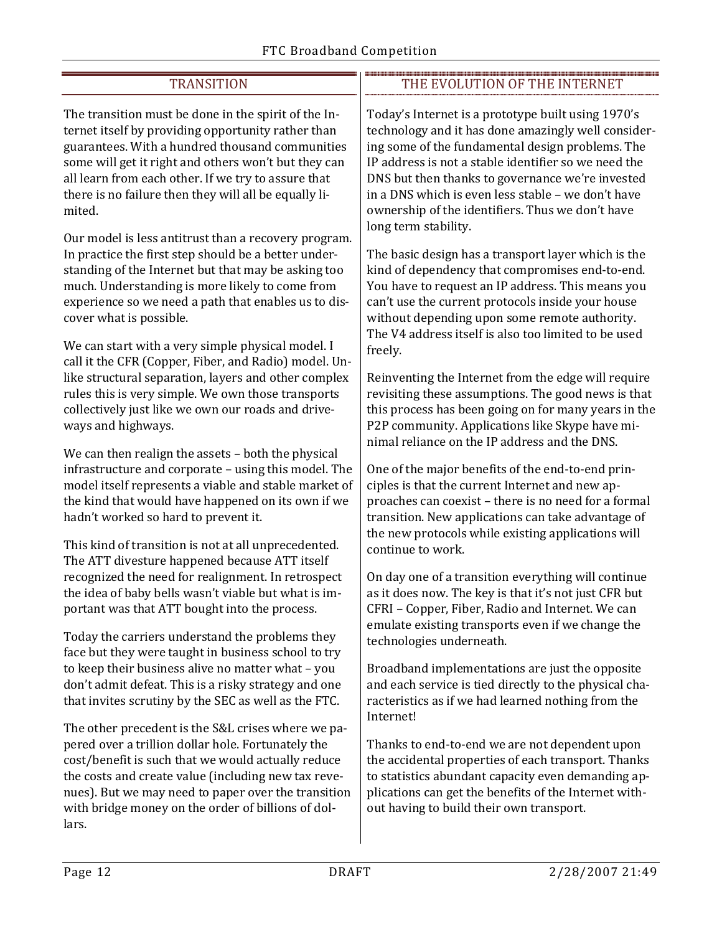| <b>TRANSITION</b>                                                                                                                                                                                                                                                                                                                               | THE EVOLUTION OF THE INTERNET                                                                                                                                                                                                                                                                                                                                                                               |
|-------------------------------------------------------------------------------------------------------------------------------------------------------------------------------------------------------------------------------------------------------------------------------------------------------------------------------------------------|-------------------------------------------------------------------------------------------------------------------------------------------------------------------------------------------------------------------------------------------------------------------------------------------------------------------------------------------------------------------------------------------------------------|
| The transition must be done in the spirit of the In-<br>ternet itself by providing opportunity rather than<br>guarantees. With a hundred thousand communities<br>some will get it right and others won't but they can<br>all learn from each other. If we try to assure that<br>there is no failure then they will all be equally li-<br>mited. | Today's Internet is a prototype built using 1970's<br>technology and it has done amazingly well consider-<br>ing some of the fundamental design problems. The<br>IP address is not a stable identifier so we need the<br>DNS but then thanks to governance we're invested<br>in a DNS which is even less stable - we don't have<br>ownership of the identifiers. Thus we don't have<br>long term stability. |
| Our model is less antitrust than a recovery program.                                                                                                                                                                                                                                                                                            | The basic design has a transport layer which is the                                                                                                                                                                                                                                                                                                                                                         |
| In practice the first step should be a better under-                                                                                                                                                                                                                                                                                            | kind of dependency that compromises end-to-end.                                                                                                                                                                                                                                                                                                                                                             |
| standing of the Internet but that may be asking too                                                                                                                                                                                                                                                                                             | You have to request an IP address. This means you                                                                                                                                                                                                                                                                                                                                                           |
| much. Understanding is more likely to come from                                                                                                                                                                                                                                                                                                 | can't use the current protocols inside your house                                                                                                                                                                                                                                                                                                                                                           |
| experience so we need a path that enables us to dis-                                                                                                                                                                                                                                                                                            | without depending upon some remote authority.                                                                                                                                                                                                                                                                                                                                                               |
| cover what is possible.                                                                                                                                                                                                                                                                                                                         | The V4 address itself is also too limited to be used                                                                                                                                                                                                                                                                                                                                                        |
| We can start with a very simple physical model. I                                                                                                                                                                                                                                                                                               | freely.                                                                                                                                                                                                                                                                                                                                                                                                     |
| call it the CFR (Copper, Fiber, and Radio) model. Un-                                                                                                                                                                                                                                                                                           | Reinventing the Internet from the edge will require                                                                                                                                                                                                                                                                                                                                                         |
| like structural separation, layers and other complex                                                                                                                                                                                                                                                                                            | revisiting these assumptions. The good news is that                                                                                                                                                                                                                                                                                                                                                         |
| rules this is very simple. We own those transports                                                                                                                                                                                                                                                                                              | this process has been going on for many years in the                                                                                                                                                                                                                                                                                                                                                        |
| collectively just like we own our roads and drive-                                                                                                                                                                                                                                                                                              | P2P community. Applications like Skype have mi-                                                                                                                                                                                                                                                                                                                                                             |
| ways and highways.                                                                                                                                                                                                                                                                                                                              | nimal reliance on the IP address and the DNS.                                                                                                                                                                                                                                                                                                                                                               |
| We can then realign the assets - both the physical                                                                                                                                                                                                                                                                                              | One of the major benefits of the end-to-end prin-                                                                                                                                                                                                                                                                                                                                                           |
| infrastructure and corporate - using this model. The                                                                                                                                                                                                                                                                                            | ciples is that the current Internet and new ap-                                                                                                                                                                                                                                                                                                                                                             |
| model itself represents a viable and stable market of                                                                                                                                                                                                                                                                                           | proaches can coexist - there is no need for a formal                                                                                                                                                                                                                                                                                                                                                        |
| the kind that would have happened on its own if we                                                                                                                                                                                                                                                                                              | transition. New applications can take advantage of                                                                                                                                                                                                                                                                                                                                                          |
| hadn't worked so hard to prevent it.                                                                                                                                                                                                                                                                                                            | the new protocols while existing applications will                                                                                                                                                                                                                                                                                                                                                          |
| This kind of transition is not at all unprecedented.                                                                                                                                                                                                                                                                                            | continue to work.                                                                                                                                                                                                                                                                                                                                                                                           |
| The ATT divesture happened because ATT itself                                                                                                                                                                                                                                                                                                   | On day one of a transition everything will continue                                                                                                                                                                                                                                                                                                                                                         |
| recognized the need for realignment. In retrospect                                                                                                                                                                                                                                                                                              | as it does now. The key is that it's not just CFR but                                                                                                                                                                                                                                                                                                                                                       |
| the idea of baby bells wasn't viable but what is im-                                                                                                                                                                                                                                                                                            | CFRI - Copper, Fiber, Radio and Internet. We can                                                                                                                                                                                                                                                                                                                                                            |
| portant was that ATT bought into the process.                                                                                                                                                                                                                                                                                                   | emulate existing transports even if we change the                                                                                                                                                                                                                                                                                                                                                           |
| Today the carriers understand the problems they                                                                                                                                                                                                                                                                                                 | technologies underneath.                                                                                                                                                                                                                                                                                                                                                                                    |
| face but they were taught in business school to try                                                                                                                                                                                                                                                                                             | Broadband implementations are just the opposite                                                                                                                                                                                                                                                                                                                                                             |
| to keep their business alive no matter what - you                                                                                                                                                                                                                                                                                               | and each service is tied directly to the physical cha-                                                                                                                                                                                                                                                                                                                                                      |
| don't admit defeat. This is a risky strategy and one                                                                                                                                                                                                                                                                                            | racteristics as if we had learned nothing from the                                                                                                                                                                                                                                                                                                                                                          |
| that invites scrutiny by the SEC as well as the FTC.                                                                                                                                                                                                                                                                                            | Internet!                                                                                                                                                                                                                                                                                                                                                                                                   |
| The other precedent is the S&L crises where we pa-<br>pered over a trillion dollar hole. Fortunately the<br>cost/benefit is such that we would actually reduce<br>the costs and create value (including new tax reve-<br>nues). But we may need to paper over the transition<br>with bridge money on the order of billions of dol-<br>lars.     | Thanks to end-to-end we are not dependent upon<br>the accidental properties of each transport. Thanks<br>to statistics abundant capacity even demanding ap-<br>plications can get the benefits of the Internet with-<br>out having to build their own transport.                                                                                                                                            |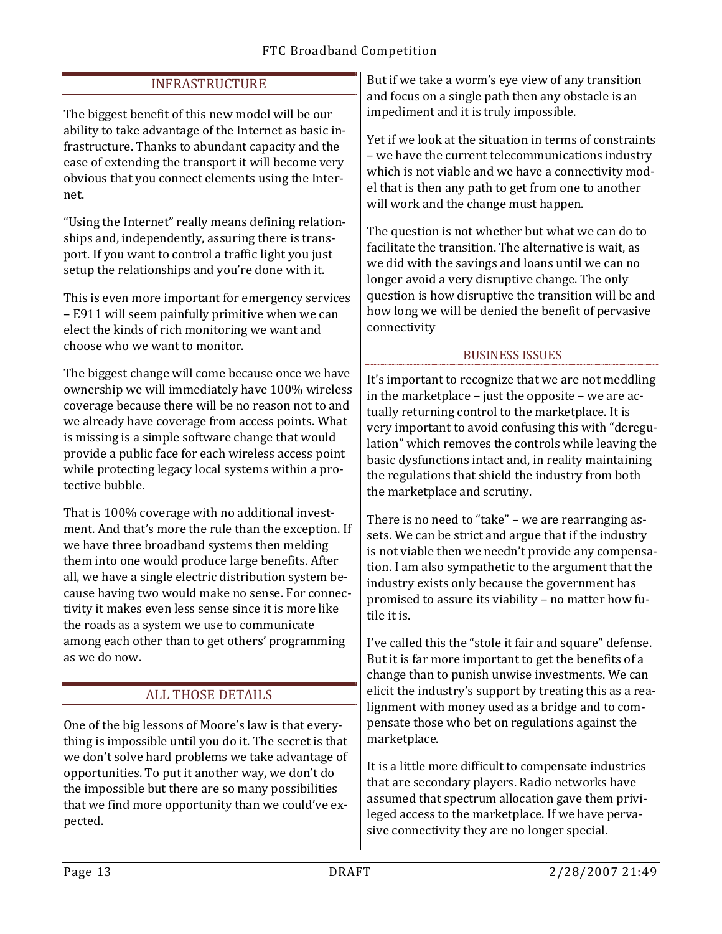| <b>INFRASTRUCTURE</b>                                                                                                                                                                                                                                                                                                                                                                                                                                                                     | But if we take a worm's eye view of any transition<br>and focus on a single path then any obstacle is an<br>impediment and it is truly impossible.                                                                                                                                                                                                                                                                                |
|-------------------------------------------------------------------------------------------------------------------------------------------------------------------------------------------------------------------------------------------------------------------------------------------------------------------------------------------------------------------------------------------------------------------------------------------------------------------------------------------|-----------------------------------------------------------------------------------------------------------------------------------------------------------------------------------------------------------------------------------------------------------------------------------------------------------------------------------------------------------------------------------------------------------------------------------|
| The biggest benefit of this new model will be our                                                                                                                                                                                                                                                                                                                                                                                                                                         |                                                                                                                                                                                                                                                                                                                                                                                                                                   |
| ability to take advantage of the Internet as basic in-<br>frastructure. Thanks to abundant capacity and the<br>ease of extending the transport it will become very<br>obvious that you connect elements using the Inter-<br>net.                                                                                                                                                                                                                                                          | Yet if we look at the situation in terms of constraints<br>- we have the current telecommunications industry<br>which is not viable and we have a connectivity mod-<br>el that is then any path to get from one to another<br>will work and the change must happen.                                                                                                                                                               |
| "Using the Internet" really means defining relation-<br>ships and, independently, assuring there is trans-<br>port. If you want to control a traffic light you just<br>setup the relationships and you're done with it.                                                                                                                                                                                                                                                                   | The question is not whether but what we can do to<br>facilitate the transition. The alternative is wait, as<br>we did with the savings and loans until we can no<br>longer avoid a very disruptive change. The only<br>question is how disruptive the transition will be and<br>how long we will be denied the benefit of pervasive<br>connectivity                                                                               |
| This is even more important for emergency services<br>- E911 will seem painfully primitive when we can<br>elect the kinds of rich monitoring we want and<br>choose who we want to monitor.                                                                                                                                                                                                                                                                                                |                                                                                                                                                                                                                                                                                                                                                                                                                                   |
|                                                                                                                                                                                                                                                                                                                                                                                                                                                                                           | <b>BUSINESS ISSUES</b>                                                                                                                                                                                                                                                                                                                                                                                                            |
| The biggest change will come because once we have<br>ownership we will immediately have 100% wireless<br>coverage because there will be no reason not to and<br>we already have coverage from access points. What<br>is missing is a simple software change that would<br>provide a public face for each wireless access point<br>while protecting legacy local systems within a pro-<br>tective bubble.                                                                                  | It's important to recognize that we are not meddling<br>in the marketplace - just the opposite - we are ac-<br>tually returning control to the marketplace. It is<br>very important to avoid confusing this with "deregu-<br>lation" which removes the controls while leaving the<br>basic dysfunctions intact and, in reality maintaining<br>the regulations that shield the industry from both<br>the marketplace and scrutiny. |
| That is 100% coverage with no additional invest-<br>ment. And that's more the rule than the exception. If<br>we have three broadband systems then melding<br>them into one would produce large benefits. After<br>all, we have a single electric distribution system be-<br>cause having two would make no sense. For connec-<br>tivity it makes even less sense since it is more like<br>the roads as a system we use to communicate<br>among each other than to get others' programming | There is no need to "take" - we are rearranging as-<br>sets. We can be strict and argue that if the industry<br>is not viable then we needn't provide any compensa-<br>tion. I am also sympathetic to the argument that the<br>industry exists only because the government has<br>promised to assure its viability - no matter how fu-<br>tile it is.<br>I've called this the "stole it fair and square" defense.                 |
| as we do now.                                                                                                                                                                                                                                                                                                                                                                                                                                                                             | But it is far more important to get the benefits of a<br>change than to punish unwise investments. We can                                                                                                                                                                                                                                                                                                                         |
| <b>ALL THOSE DETAILS</b>                                                                                                                                                                                                                                                                                                                                                                                                                                                                  | elicit the industry's support by treating this as a rea-<br>lignment with money used as a bridge and to com-<br>pensate those who bet on regulations against the<br>marketplace.                                                                                                                                                                                                                                                  |
| One of the big lessons of Moore's law is that every-<br>thing is impossible until you do it. The secret is that                                                                                                                                                                                                                                                                                                                                                                           |                                                                                                                                                                                                                                                                                                                                                                                                                                   |
| we don't solve hard problems we take advantage of<br>opportunities. To put it another way, we don't do<br>the impossible but there are so many possibilities                                                                                                                                                                                                                                                                                                                              | It is a little more difficult to compensate industries<br>that are secondary players. Radio networks have                                                                                                                                                                                                                                                                                                                         |

that are secondary players. Radio networks have assumed that spectrum allocation gave them privileged access to the marketplace. If we have pervasive connectivity they are no longer special.

pected.

that we find more opportunity than we could've ex-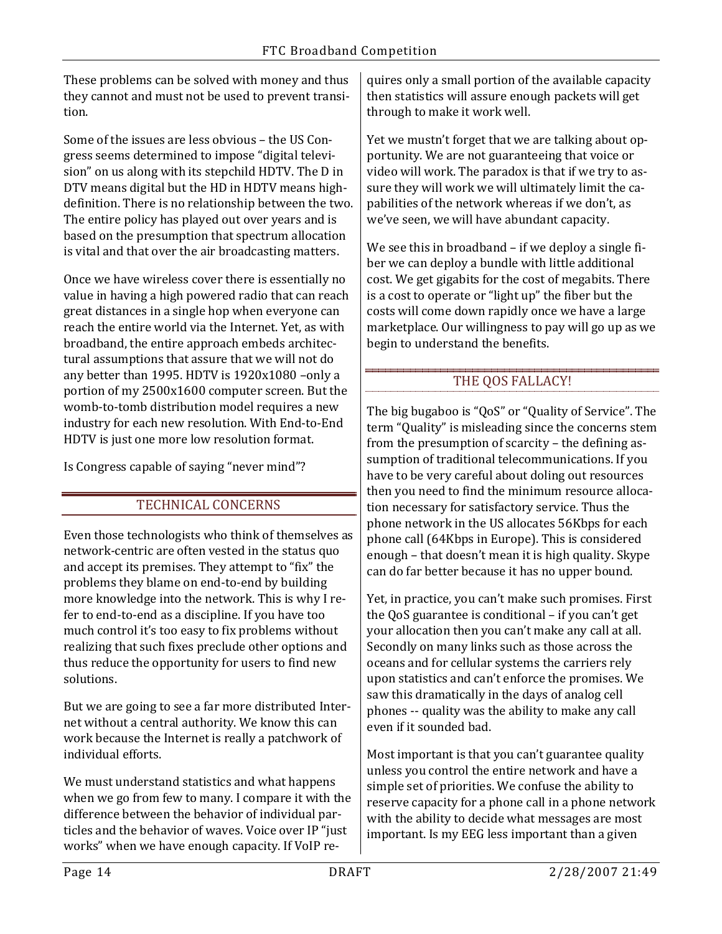These problems can be solved with money and thus they cannot and must not be used to prevent transition.

Some of the issues are less obvious – the US Congress seems determined to impose "digital television" on us along with its stepchild HDTV. The D in DTV means digital but the HD in HDTV means highdefinition. There is no relationship between the two. The entire policy has played out over years and is based on the presumption that spectrum allocation is vital and that over the air broadcasting matters.

Once we have wireless cover there is essentially no value in having a high powered radio that can reach great distances in a single hop when everyone can reach the entire world via the Internet. Yet, as with broadband, the entire approach embeds architectural assumptions that assure that we will not do any better than 1995. HDTV is 1920x1080 –only a portion of my 2500x1600 computer screen. But the womb-to-tomb distribution model requires a new industry for each new resolution. With End-to-End HDTV is just one more low resolution format.

Is Congress capable of saying "never mind"?

# TECHNICAL CONCERNS

Even those technologists who think of themselves as network-centric are often vested in the status quo and accept its premises. They attempt to "fix" the problems they blame on end-to-end by building more knowledge into the network. This is why I refer to end-to-end as a discipline. If you have too much control it's too easy to fix problems without realizing that such fixes preclude other options and thus reduce the opportunity for users to find new solutions.

But we are going to see a far more distributed Internet without a central authority. We know this can work because the Internet is really a patchwork of individual efforts.

We must understand statistics and what happens when we go from few to many. I compare it with the difference between the behavior of individual particles and the behavior of waves. Voice over IP "just works" when we have enough capacity. If VoIP re-

quires only a small portion of the available capacity then statistics will assure enough packets will get through to make it work well.

Yet we mustn't forget that we are talking about opportunity. We are not guaranteeing that voice or video will work. The paradox is that if we try to assure they will work we will ultimately limit the capabilities of the network whereas if we don't, as we've seen, we will have abundant capacity.

We see this in broadband – if we deploy a single fiber we can deploy a bundle with little additional cost. We get gigabits for the cost of megabits. There is a cost to operate or "light up" the fiber but the costs will come down rapidly once we have a large marketplace. Our willingness to pay will go up as we begin to understand the benefits.

# THE QOS FALLACY!

The big bugaboo is "QoS" or "Quality of Service". The term "Quality" is misleading since the concerns stem from the presumption of scarcity – the defining assumption of traditional telecommunications. If you have to be very careful about doling out resources then you need to find the minimum resource allocation necessary for satisfactory service. Thus the phone network in the US allocates 56Kbps for each phone call (64Kbps in Europe). This is considered enough – that doesn't mean it is high quality. Skype can do far better because it has no upper bound.

Yet, in practice, you can't make such promises. First the QoS guarantee is conditional – if you can't get your allocation then you can't make any call at all. Secondly on many links such as those across the oceans and for cellular systems the carriers rely upon statistics and can't enforce the promises. We saw this dramatically in the days of analog cell phones -- quality was the ability to make any call even if it sounded bad.

Most important is that you can't guarantee quality unless you control the entire network and have a simple set of priorities. We confuse the ability to reserve capacity for a phone call in a phone network with the ability to decide what messages are most important. Is my EEG less important than a given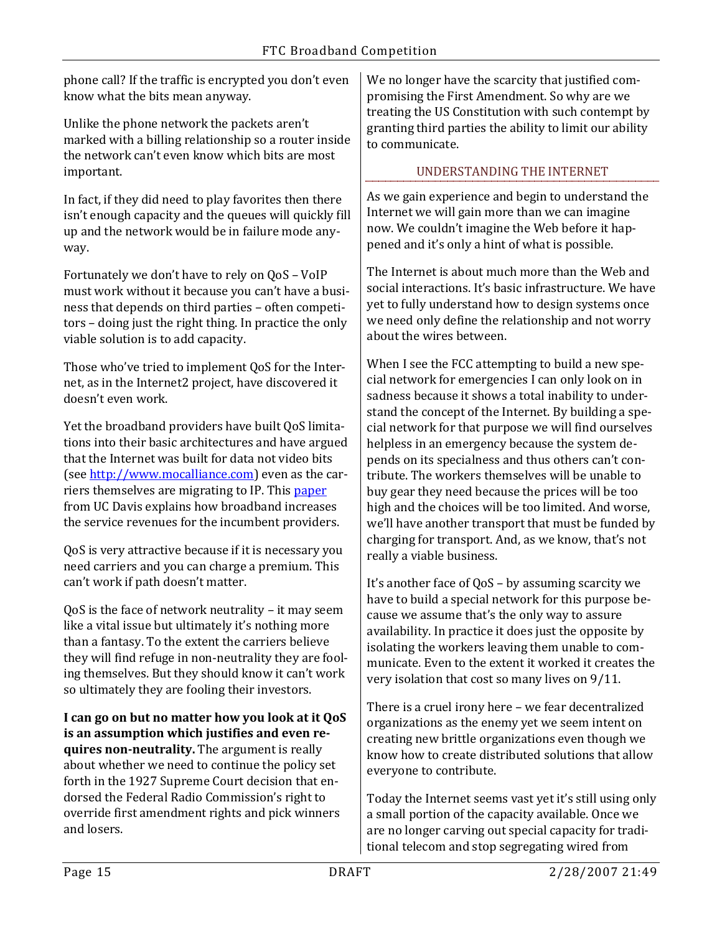phone call? If the traffic is encrypted you don't even know what the bits mean anyway.

Unlike the phone network the packets aren't marked with a billing relationship so a router inside the network can't even know which bits are most important.

In fact, if they did need to play favorites then there isn't enough capacity and the queues will quickly fill up and the network would be in failure mode anyway.

Fortunately we don't have to rely on QoS – VoIP must work without it because you can't have a business that depends on third parties – often competitors – doing just the right thing. In practice the only viable solution is to add capacity.

Those who've tried to implement QoS for the Internet, as in the Internet2 project, have discovered it doesn't even work.

Yet the broadband providers have built QoS limitations into their basic architectures and have argued that the Internet was built for data not video bits (see [http://www.mocalliance.com\)](http://www.mocalliance.com/) even as the carriers themselves are migrating to IP. This [paper](http://networks.cs.ucdavis.edu/publications/2005_amitabha_2005-11-19_05_24_32.pdf) from UC Davis explains how broadband increases the service revenues for the incumbent providers.

QoS is very attractive because if it is necessary you need carriers and you can charge a premium. This can't work if path doesn't matter.

QoS is the face of network neutrality – it may seem like a vital issue but ultimately it's nothing more than a fantasy. To the extent the carriers believe they will find refuge in non-neutrality they are fooling themselves. But they should know it can't work so ultimately they are fooling their investors.

**I can go on but no matter how you look at it QoS is an assumption which justifies and even requires non-neutrality.** The argument is really about whether we need to continue the policy set forth in the 1927 Supreme Court decision that endorsed the Federal Radio Commission's right to override first amendment rights and pick winners and losers.

We no longer have the scarcity that justified compromising the First Amendment. So why are we treating the US Constitution with such contempt by granting third parties the ability to limit our ability to communicate.

## UNDERSTANDING THE INTERNET

As we gain experience and begin to understand the Internet we will gain more than we can imagine now. We couldn't imagine the Web before it happened and it's only a hint of what is possible.

The Internet is about much more than the Web and social interactions. It's basic infrastructure. We have yet to fully understand how to design systems once we need only define the relationship and not worry about the wires between.

When I see the FCC attempting to build a new special network for emergencies I can only look on in sadness because it shows a total inability to understand the concept of the Internet. By building a special network for that purpose we will find ourselves helpless in an emergency because the system depends on its specialness and thus others can't contribute. The workers themselves will be unable to buy gear they need because the prices will be too high and the choices will be too limited. And worse, we'll have another transport that must be funded by charging for transport. And, as we know, that's not really a viable business.

It's another face of QoS – by assuming scarcity we have to build a special network for this purpose because we assume that's the only way to assure availability. In practice it does just the opposite by isolating the workers leaving them unable to communicate. Even to the extent it worked it creates the very isolation that cost so many lives on 9/11.

There is a cruel irony here – we fear decentralized organizations as the enemy yet we seem intent on creating new brittle organizations even though we know how to create distributed solutions that allow everyone to contribute.

Today the Internet seems vast yet it's still using only a small portion of the capacity available. Once we are no longer carving out special capacity for traditional telecom and stop segregating wired from